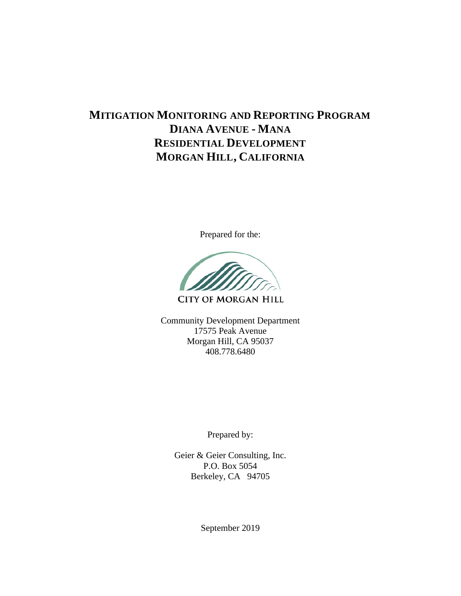## **MITIGATION MONITORING AND REPORTING PROGRAM DIANA AVENUE - MANA RESIDENTIAL DEVELOPMENT MORGAN HILL, CALIFORNIA**

Prepared for the:



**CITY OF MORGAN HILL** 

Community Development Department 17575 Peak Avenue Morgan Hill, CA 95037 408.778.6480

Prepared by:

Geier & Geier Consulting, Inc. P.O. Box 5054 Berkeley, CA 94705

September 2019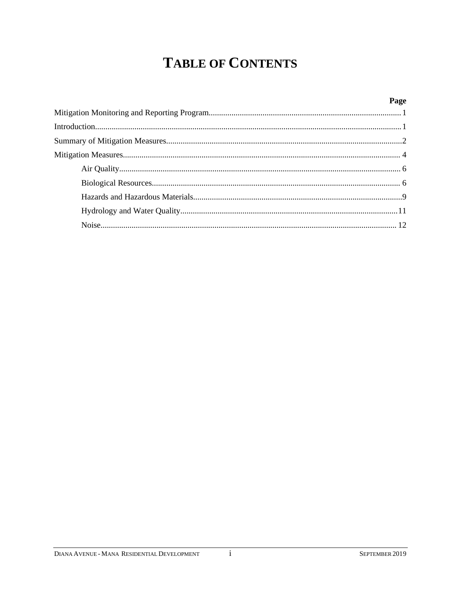# **TABLE OF CONTENTS**

| Page |
|------|
|      |
|      |
|      |
|      |
|      |
|      |
|      |
|      |
|      |

 $\rm i$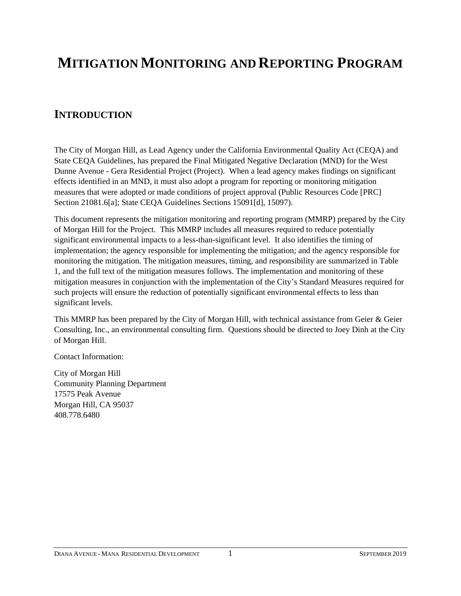# **MITIGATION MONITORING AND REPORTING PROGRAM**

### **INTRODUCTION**

The City of Morgan Hill, as Lead Agency under the California Environmental Quality Act (CEQA) and State CEQA Guidelines, has prepared the Final Mitigated Negative Declaration (MND) for the West Dunne Avenue - Gera Residential Project (Project). When a lead agency makes findings on significant effects identified in an MND, it must also adopt a program for reporting or monitoring mitigation measures that were adopted or made conditions of project approval (Public Resources Code [PRC] Section 21081.6[a]; State CEQA Guidelines Sections 15091[d], 15097).

This document represents the mitigation monitoring and reporting program (MMRP) prepared by the City of Morgan Hill for the Project. This MMRP includes all measures required to reduce potentially significant environmental impacts to a less-than-significant level. It also identifies the timing of implementation; the agency responsible for implementing the mitigation; and the agency responsible for monitoring the mitigation. The mitigation measures, timing, and responsibility are summarized in Table 1, and the full text of the mitigation measures follows. The implementation and monitoring of these mitigation measures in conjunction with the implementation of the City's Standard Measures required for such projects will ensure the reduction of potentially significant environmental effects to less than significant levels.

This MMRP has been prepared by the City of Morgan Hill, with technical assistance from Geier & Geier Consulting, Inc., an environmental consulting firm. Questions should be directed to Joey Dinh at the City of Morgan Hill.

Contact Information:

City of Morgan Hill Community Planning Department 17575 Peak Avenue Morgan Hill, CA 95037 408.778.6480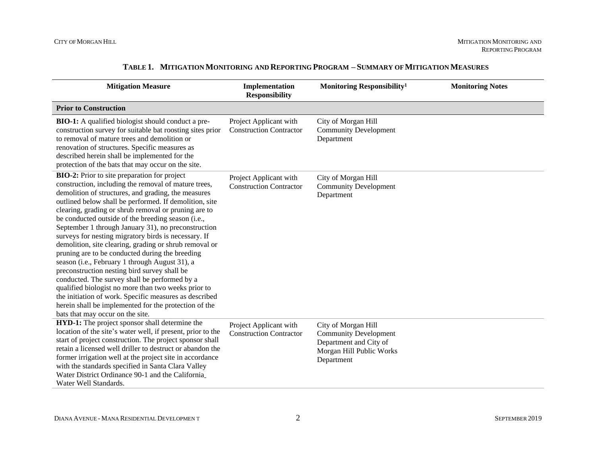| <b>Mitigation Measure</b>                                                                                                                                                                                                                                                                                                                                                                                                                                                                                                                                                                                                                                                                                                                                                                                                                                                                                                               | Implementation<br><b>Responsibility</b>                  | Monitoring Responsibility <sup>1</sup>                                                                                  | <b>Monitoring Notes</b> |
|-----------------------------------------------------------------------------------------------------------------------------------------------------------------------------------------------------------------------------------------------------------------------------------------------------------------------------------------------------------------------------------------------------------------------------------------------------------------------------------------------------------------------------------------------------------------------------------------------------------------------------------------------------------------------------------------------------------------------------------------------------------------------------------------------------------------------------------------------------------------------------------------------------------------------------------------|----------------------------------------------------------|-------------------------------------------------------------------------------------------------------------------------|-------------------------|
| <b>Prior to Construction</b>                                                                                                                                                                                                                                                                                                                                                                                                                                                                                                                                                                                                                                                                                                                                                                                                                                                                                                            |                                                          |                                                                                                                         |                         |
| <b>BIO-1:</b> A qualified biologist should conduct a pre-<br>construction survey for suitable bat roosting sites prior<br>to removal of mature trees and demolition or<br>renovation of structures. Specific measures as<br>described herein shall be implemented for the<br>protection of the bats that may occur on the site.                                                                                                                                                                                                                                                                                                                                                                                                                                                                                                                                                                                                         | Project Applicant with<br><b>Construction Contractor</b> | City of Morgan Hill<br><b>Community Development</b><br>Department                                                       |                         |
| <b>BIO-2:</b> Prior to site preparation for project<br>construction, including the removal of mature trees,<br>demolition of structures, and grading, the measures<br>outlined below shall be performed. If demolition, site<br>clearing, grading or shrub removal or pruning are to<br>be conducted outside of the breeding season (i.e.,<br>September 1 through January 31), no preconstruction<br>surveys for nesting migratory birds is necessary. If<br>demolition, site clearing, grading or shrub removal or<br>pruning are to be conducted during the breeding<br>season (i.e., February 1 through August 31), a<br>preconstruction nesting bird survey shall be<br>conducted. The survey shall be performed by a<br>qualified biologist no more than two weeks prior to<br>the initiation of work. Specific measures as described<br>herein shall be implemented for the protection of the<br>bats that may occur on the site. | Project Applicant with<br><b>Construction Contractor</b> | City of Morgan Hill<br><b>Community Development</b><br>Department                                                       |                         |
| HYD-1: The project sponsor shall determine the<br>location of the site's water well, if present, prior to the<br>start of project construction. The project sponsor shall<br>retain a licensed well driller to destruct or abandon the<br>former irrigation well at the project site in accordance<br>with the standards specified in Santa Clara Valley<br>Water District Ordinance 90-1 and the California<br>Water Well Standards.                                                                                                                                                                                                                                                                                                                                                                                                                                                                                                   | Project Applicant with<br><b>Construction Contractor</b> | City of Morgan Hill<br><b>Community Development</b><br>Department and City of<br>Morgan Hill Public Works<br>Department |                         |

#### **TABLE 1. MITIGATION MONITORING AND REPORTING PROGRAM – SUMMARY OF MITIGATION MEASURES**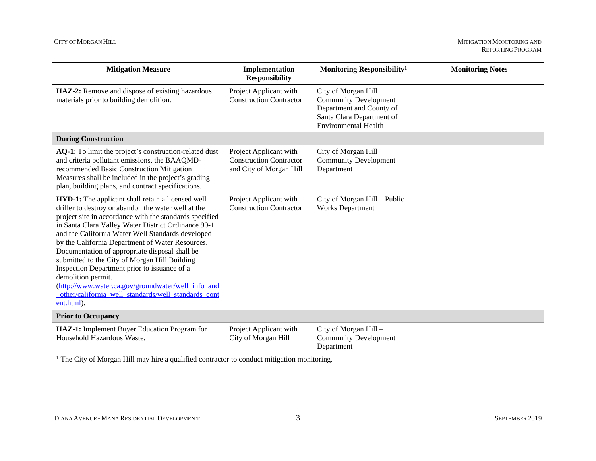#### CITY OF MORGAN HILL MITIGATION MONITORING AND MITIGATION MONITORING AND MONITORING AND MONITORING AND MONITORING AND MONITORING AND MONITORING AND MONITORING AND MONITORING AND MONITORING AND MONITORING AND MONITORING AND

| <b>Mitigation Measure</b>                                                                                                                                                                                                                                                                                                                                                                                                                                                                                                                                                                                                                      | Implementation<br><b>Responsibility</b>                                             | Monitoring Responsibility <sup>1</sup>                                                                                                      | Mo |
|------------------------------------------------------------------------------------------------------------------------------------------------------------------------------------------------------------------------------------------------------------------------------------------------------------------------------------------------------------------------------------------------------------------------------------------------------------------------------------------------------------------------------------------------------------------------------------------------------------------------------------------------|-------------------------------------------------------------------------------------|---------------------------------------------------------------------------------------------------------------------------------------------|----|
| HAZ-2: Remove and dispose of existing hazardous<br>materials prior to building demolition.                                                                                                                                                                                                                                                                                                                                                                                                                                                                                                                                                     | Project Applicant with<br><b>Construction Contractor</b>                            | City of Morgan Hill<br><b>Community Development</b><br>Department and County of<br>Santa Clara Department of<br><b>Environmental Health</b> |    |
| <b>During Construction</b>                                                                                                                                                                                                                                                                                                                                                                                                                                                                                                                                                                                                                     |                                                                                     |                                                                                                                                             |    |
| AQ-1: To limit the project's construction-related dust<br>and criteria pollutant emissions, the BAAQMD-<br>recommended Basic Construction Mitigation<br>Measures shall be included in the project's grading<br>plan, building plans, and contract specifications.                                                                                                                                                                                                                                                                                                                                                                              | Project Applicant with<br><b>Construction Contractor</b><br>and City of Morgan Hill | City of Morgan Hill -<br><b>Community Development</b><br>Department                                                                         |    |
| <b>HYD-1:</b> The applicant shall retain a licensed well<br>driller to destroy or abandon the water well at the<br>project site in accordance with the standards specified<br>in Santa Clara Valley Water District Ordinance 90-1<br>and the California Water Well Standards developed<br>by the California Department of Water Resources.<br>Documentation of appropriate disposal shall be<br>submitted to the City of Morgan Hill Building<br>Inspection Department prior to issuance of a<br>demolition permit.<br>(http://www.water.ca.gov/groundwater/well info and<br>other/california_well_standards/well_standards_cont<br>ent.html). | Project Applicant with<br><b>Construction Contractor</b>                            | City of Morgan Hill - Public<br><b>Works Department</b>                                                                                     |    |
| <b>Prior to Occupancy</b>                                                                                                                                                                                                                                                                                                                                                                                                                                                                                                                                                                                                                      |                                                                                     |                                                                                                                                             |    |
| HAZ-1: Implement Buyer Education Program for<br>Household Hazardous Waste.                                                                                                                                                                                                                                                                                                                                                                                                                                                                                                                                                                     | Project Applicant with<br>City of Morgan Hill                                       | City of Morgan Hill -<br><b>Community Development</b><br>Department                                                                         |    |

<sup>1</sup> The City of Morgan Hill may hire a qualified contractor to conduct mitigation monitoring.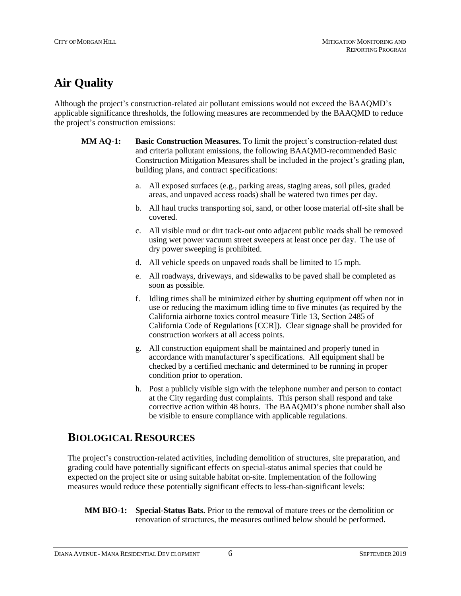# **Air Quality**

Although the project's construction-related air pollutant emissions would not exceed the BAAQMD's applicable significance thresholds, the following measures are recommended by the BAAQMD to reduce the project's construction emissions:

- **MM AQ-1: Basic Construction Measures.** To limit the project's construction-related dust and criteria pollutant emissions, the following BAAQMD-recommended Basic Construction Mitigation Measures shall be included in the project's grading plan, building plans, and contract specifications:
	- a. All exposed surfaces (e.g., parking areas, staging areas, soil piles, graded areas, and unpaved access roads) shall be watered two times per day.
	- b. All haul trucks transporting soi, sand, or other loose material off-site shall be covered.
	- c. All visible mud or dirt track-out onto adjacent public roads shall be removed using wet power vacuum street sweepers at least once per day. The use of dry power sweeping is prohibited.
	- d. All vehicle speeds on unpaved roads shall be limited to 15 mph.
	- e. All roadways, driveways, and sidewalks to be paved shall be completed as soon as possible.
	- f. Idling times shall be minimized either by shutting equipment off when not in use or reducing the maximum idling time to five minutes (as required by the California airborne toxics control measure Title 13, Section 2485 of California Code of Regulations [CCR]). Clear signage shall be provided for construction workers at all access points.
	- g. All construction equipment shall be maintained and properly tuned in accordance with manufacturer's specifications. All equipment shall be checked by a certified mechanic and determined to be running in proper condition prior to operation.
	- h. Post a publicly visible sign with the telephone number and person to contact at the City regarding dust complaints. This person shall respond and take corrective action within 48 hours. The BAAQMD's phone number shall also be visible to ensure compliance with applicable regulations.

## **BIOLOGICAL RESOURCES**

The project's construction-related activities, including demolition of structures, site preparation, and grading could have potentially significant effects on special-status animal species that could be expected on the project site or using suitable habitat on-site. Implementation of the following measures would reduce these potentially significant effects to less-than-significant levels:

**MM BIO-1: Special-Status Bats.** Prior to the removal of mature trees or the demolition or renovation of structures, the measures outlined below should be performed.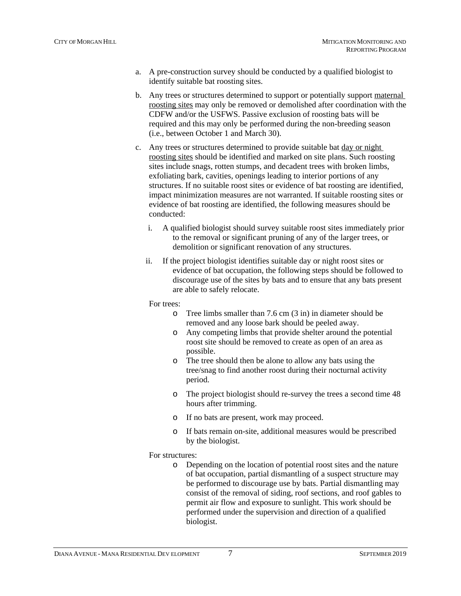- a. A pre-construction survey should be conducted by a qualified biologist to identify suitable bat roosting sites.
- b. Any trees or structures determined to support or potentially support maternal roosting sites may only be removed or demolished after coordination with the CDFW and/or the USFWS. Passive exclusion of roosting bats will be required and this may only be performed during the non-breeding season (i.e., between October 1 and March 30).
- c. Any trees or structures determined to provide suitable bat day or night roosting sites should be identified and marked on site plans. Such roosting sites include snags, rotten stumps, and decadent trees with broken limbs, exfoliating bark, cavities, openings leading to interior portions of any structures. If no suitable roost sites or evidence of bat roosting are identified, impact minimization measures are not warranted. If suitable roosting sites or evidence of bat roosting are identified, the following measures should be conducted:
	- i. A qualified biologist should survey suitable roost sites immediately prior to the removal or significant pruning of any of the larger trees, or demolition or significant renovation of any structures.
	- ii. If the project biologist identifies suitable day or night roost sites or evidence of bat occupation, the following steps should be followed to discourage use of the sites by bats and to ensure that any bats present are able to safely relocate.

#### For trees:

- o Tree limbs smaller than 7.6 cm (3 in) in diameter should be removed and any loose bark should be peeled away.
- o Any competing limbs that provide shelter around the potential roost site should be removed to create as open of an area as possible.
- o The tree should then be alone to allow any bats using the tree/snag to find another roost during their nocturnal activity period.
- o The project biologist should re-survey the trees a second time 48 hours after trimming.
- o If no bats are present, work may proceed.
- o If bats remain on-site, additional measures would be prescribed by the biologist.

#### For structures:

o Depending on the location of potential roost sites and the nature of bat occupation, partial dismantling of a suspect structure may be performed to discourage use by bats. Partial dismantling may consist of the removal of siding, roof sections, and roof gables to permit air flow and exposure to sunlight. This work should be performed under the supervision and direction of a qualified biologist.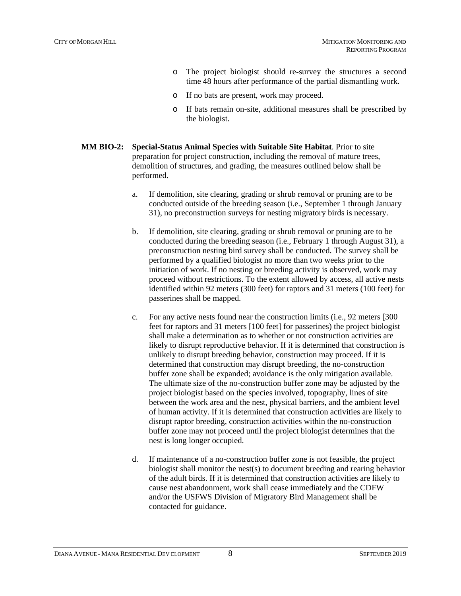- o The project biologist should re-survey the structures a second time 48 hours after performance of the partial dismantling work.
- o If no bats are present, work may proceed.
- o If bats remain on-site, additional measures shall be prescribed by the biologist.
- **MM BIO-2: Special-Status Animal Species with Suitable Site Habitat**. Prior to site preparation for project construction, including the removal of mature trees, demolition of structures, and grading, the measures outlined below shall be performed.
	- a. If demolition, site clearing, grading or shrub removal or pruning are to be conducted outside of the breeding season (i.e., September 1 through January 31), no preconstruction surveys for nesting migratory birds is necessary.
	- b. If demolition, site clearing, grading or shrub removal or pruning are to be conducted during the breeding season (i.e., February 1 through August 31), a preconstruction nesting bird survey shall be conducted. The survey shall be performed by a qualified biologist no more than two weeks prior to the initiation of work. If no nesting or breeding activity is observed, work may proceed without restrictions. To the extent allowed by access, all active nests identified within 92 meters (300 feet) for raptors and 31 meters (100 feet) for passerines shall be mapped.
	- c. For any active nests found near the construction limits (i.e., 92 meters [300 feet for raptors and 31 meters [100 feet] for passerines) the project biologist shall make a determination as to whether or not construction activities are likely to disrupt reproductive behavior. If it is determined that construction is unlikely to disrupt breeding behavior, construction may proceed. If it is determined that construction may disrupt breeding, the no-construction buffer zone shall be expanded; avoidance is the only mitigation available. The ultimate size of the no-construction buffer zone may be adjusted by the project biologist based on the species involved, topography, lines of site between the work area and the nest, physical barriers, and the ambient level of human activity. If it is determined that construction activities are likely to disrupt raptor breeding, construction activities within the no-construction buffer zone may not proceed until the project biologist determines that the nest is long longer occupied.
	- d. If maintenance of a no-construction buffer zone is not feasible, the project biologist shall monitor the nest(s) to document breeding and rearing behavior of the adult birds. If it is determined that construction activities are likely to cause nest abandonment, work shall cease immediately and the CDFW and/or the USFWS Division of Migratory Bird Management shall be contacted for guidance.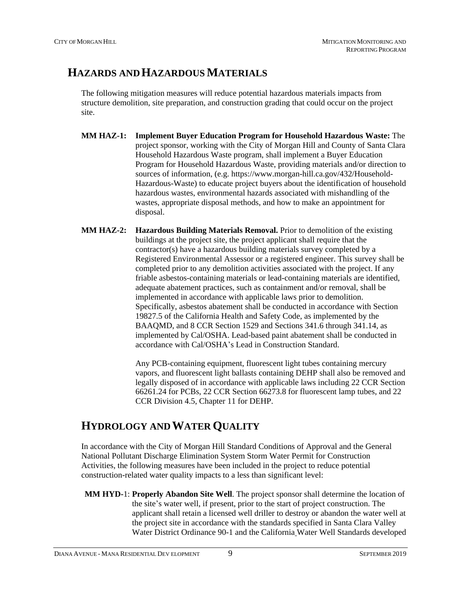### **HAZARDS AND HAZARDOUS MATERIALS**

The following mitigation measures will reduce potential hazardous materials impacts from structure demolition, site preparation, and construction grading that could occur on the project site.

- **MM HAZ-1: Implement Buyer Education Program for Household Hazardous Waste:** The project sponsor, working with the City of Morgan Hill and County of Santa Clara Household Hazardous Waste program, shall implement a Buyer Education Program for Household Hazardous Waste, providing materials and/or direction to sources of information, (e.g. https://www.morgan-hill.ca.gov/432/Household-Hazardous-Waste) to educate project buyers about the identification of household hazardous wastes, environmental hazards associated with mishandling of the wastes, appropriate disposal methods, and how to make an appointment for disposal.
- **MM HAZ-2: Hazardous Building Materials Removal.** Prior to demolition of the existing buildings at the project site, the project applicant shall require that the contractor(s) have a hazardous building materials survey completed by a Registered Environmental Assessor or a registered engineer. This survey shall be completed prior to any demolition activities associated with the project. If any friable asbestos-containing materials or lead-containing materials are identified, adequate abatement practices, such as containment and/or removal, shall be implemented in accordance with applicable laws prior to demolition. Specifically, asbestos abatement shall be conducted in accordance with Section 19827.5 of the California Health and Safety Code, as implemented by the BAAQMD, and 8 CCR Section 1529 and Sections 341.6 through 341.14, as implemented by Cal/OSHA. Lead-based paint abatement shall be conducted in accordance with Cal/OSHA's Lead in Construction Standard.

Any PCB-containing equipment, fluorescent light tubes containing mercury vapors, and fluorescent light ballasts containing DEHP shall also be removed and legally disposed of in accordance with applicable laws including 22 CCR Section 66261.24 for PCBs, 22 CCR Section 66273.8 for fluorescent lamp tubes, and 22 CCR Division 4.5, Chapter 11 for DEHP.

### **HYDROLOGY AND WATER QUALITY**

In accordance with the City of Morgan Hill Standard Conditions of Approval and the General National Pollutant Discharge Elimination System Storm Water Permit for Construction Activities, the following measures have been included in the project to reduce potential construction-related water quality impacts to a less than significant level:

**MM HYD-**1: **Properly Abandon Site Well**. The project sponsor shall determine the location of the site's water well, if present, prior to the start of project construction. The applicant shall retain a licensed well driller to destroy or abandon the water well at the project site in accordance with the standards specified in Santa Clara Valley Water District Ordinance 90-1 and the California Water Well Standards developed